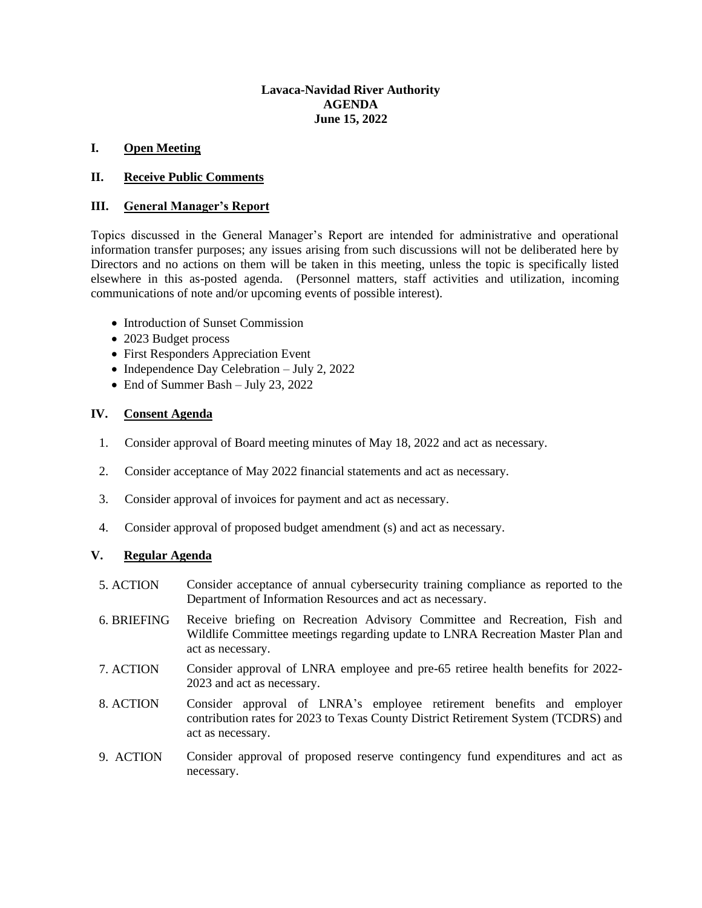## **Lavaca-Navidad River Authority AGENDA June 15, 2022**

## **I. Open Meeting**

### **II. Receive Public Comments**

#### **III. General Manager's Report**

Topics discussed in the General Manager's Report are intended for administrative and operational information transfer purposes; any issues arising from such discussions will not be deliberated here by Directors and no actions on them will be taken in this meeting, unless the topic is specifically listed elsewhere in this as-posted agenda. (Personnel matters, staff activities and utilization, incoming communications of note and/or upcoming events of possible interest).

- Introduction of Sunset Commission
- 2023 Budget process
- First Responders Appreciation Event
- Independence Day Celebration July 2, 2022
- End of Summer Bash July 23, 2022

## **IV. Consent Agenda**

- 1. Consider approval of Board meeting minutes of May 18, 2022 and act as necessary.
- 2. Consider acceptance of May 2022 financial statements and act as necessary.
- 3. Consider approval of invoices for payment and act as necessary.
- 4. Consider approval of proposed budget amendment (s) and act as necessary.

## **V. Regular Agenda**

- 5. ACTION Consider acceptance of annual cybersecurity training compliance as reported to the Department of Information Resources and act as necessary.
- 6. BRIEFING Receive briefing on Recreation Advisory Committee and Recreation, Fish and Wildlife Committee meetings regarding update to LNRA Recreation Master Plan and act as necessary.
- 7. ACTION Consider approval of LNRA employee and pre-65 retiree health benefits for 2022- 2023 and act as necessary.
- 8. ACTION Consider approval of LNRA's employee retirement benefits and employer contribution rates for 2023 to Texas County District Retirement System (TCDRS) and act as necessary.
- 9. ACTION Consider approval of proposed reserve contingency fund expenditures and act as necessary.